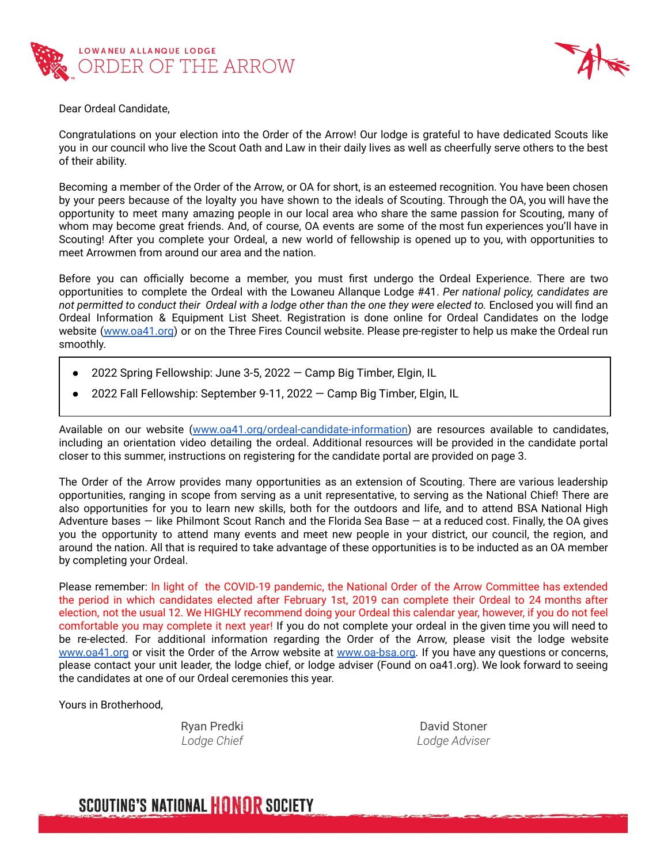



Dear Ordeal Candidate,

Congratulations on your election into the Order of the Arrow! Our lodge is grateful to have dedicated Scouts like you in our council who live the Scout Oath and Law in their daily lives as well as cheerfully serve others to the best of their ability.

Becoming a member of the Order of the Arrow, or OA for short, is an esteemed recognition. You have been chosen by your peers because of the loyalty you have shown to the ideals of Scouting. Through the OA, you will have the opportunity to meet many amazing people in our local area who share the same passion for Scouting, many of whom may become great friends. And, of course, OA events are some of the most fun experiences you'll have in Scouting! After you complete your Ordeal, a new world of fellowship is opened up to you, with opportunities to meet Arrowmen from around our area and the nation.

Before you can officially become a member, you must first undergo the Ordeal Experience. There are two opportunities to complete the Ordeal with the Lowaneu Allanque Lodge #41. *Per national policy, candidates are* not permitted to conduct their Ordeal with a lodge other than the one they were elected to. Enclosed you will find an Ordeal Information & Equipment List Sheet. Registration is done online for Ordeal Candidates on the lodge website [\(www.oa41.org](http://oa41.org)) or on the Three Fires Council website. Please pre-register to help us make the Ordeal run smoothly.

- 2022 Spring Fellowship: June 3-5, 2022  $-$  Camp Big Timber, Elgin, IL
- 2022 Fall Fellowship: September 9-11, 2022 Camp Big Timber, Elgin, IL

Available on our website ([www.oa41.org/ordeal-candidate-information\)](http://www.oa41.org/ordeal-candidate-information) are resources available to candidates, including an orientation video detailing the ordeal. Additional resources will be provided in the candidate portal closer to this summer, instructions on registering for the candidate portal are provided on page 3.

The Order of the Arrow provides many opportunities as an extension of Scouting. There are various leadership opportunities, ranging in scope from serving as a unit representative, to serving as the National Chief! There are also opportunities for you to learn new skills, both for the outdoors and life, and to attend BSA National High Adventure bases — like Philmont Scout Ranch and the Florida Sea Base — at a reduced cost. Finally, the OA gives you the opportunity to attend many events and meet new people in your district, our council, the region, and around the nation. All that is required to take advantage of these opportunities is to be inducted as an OA member by completing your Ordeal.

Please remember: In light of the COVID-19 pandemic, the National Order of the Arrow Committee has extended the period in which candidates elected after February 1st, 2019 can complete their Ordeal to 24 months after election, not the usual 12. We HIGHLY recommend doing your Ordeal this calendar year, however, if you do not feel comfortable you may complete it next year! If you do not complete your ordeal in the given time you will need to be re-elected. For additional information regarding the Order of the Arrow, please visit the lodge website [www.oa41.org](http://oa41.org) or visit the Order of the Arrow website at [www.oa-bsa.org.](http://oa-bsa.org) If you have any questions or concerns, please contact your unit leader, the lodge chief, or lodge adviser (Found on oa41.org). We look forward to seeing the candidates at one of our Ordeal ceremonies this year.

Yours in Brotherhood,

Ryan Predki *Lodge Chief*

David Stoner *Lodge Adviser*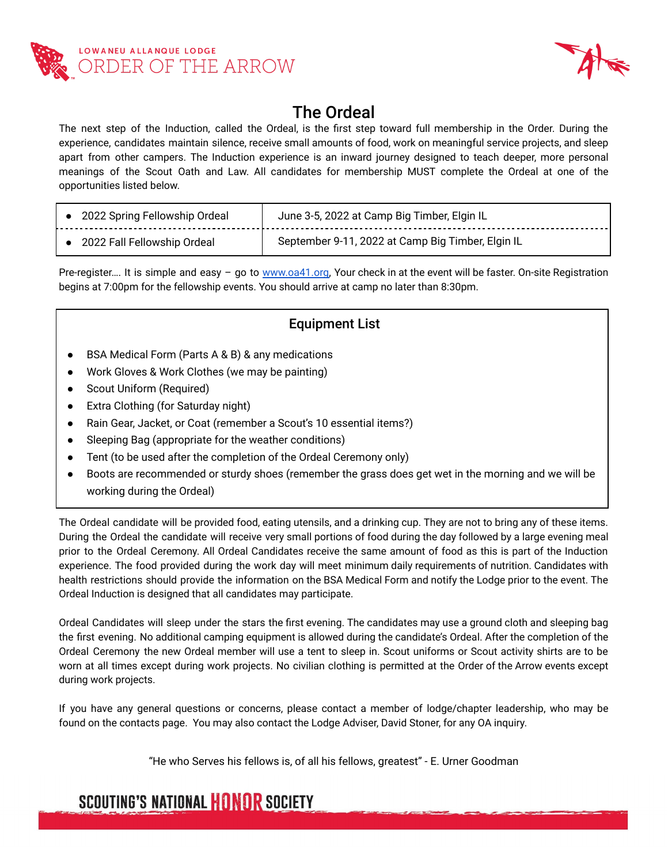



### The Ordeal

The next step of the Induction, called the Ordeal, is the first step toward full membership in the Order. During the experience, candidates maintain silence, receive small amounts of food, work on meaningful service projects, and sleep apart from other campers. The Induction experience is an inward journey designed to teach deeper, more personal meanings of the Scout Oath and Law. All candidates for membership MUST complete the Ordeal at one of the opportunities listed below.

| • 2022 Spring Fellowship Ordeal | June 3-5, 2022 at Camp Big Timber, Elgin IL       |
|---------------------------------|---------------------------------------------------|
| 2022 Fall Fellowship Ordeal     | September 9-11, 2022 at Camp Big Timber, Elgin IL |

Pre-register.... It is simple and easy – go to [www.oa41.org,](http://www.oa41.org) Your check in at the event will be faster. On-site Registration begins at 7:00pm for the fellowship events. You should arrive at camp no later than 8:30pm.

### Equipment List

- BSA Medical Form (Parts A & B) & any medications
- Work Gloves & Work Clothes (we may be painting)
- Scout Uniform (Required)
- Extra Clothing (for Saturday night)
- Rain Gear, Jacket, or Coat (remember a Scout's 10 essential items?)
- Sleeping Bag (appropriate for the weather conditions)
- Tent (to be used after the completion of the Ordeal Ceremony only)
- Boots are recommended or sturdy shoes (remember the grass does get wet in the morning and we will be working during the Ordeal)

The Ordeal candidate will be provided food, eating utensils, and a drinking cup. They are not to bring any of these items. During the Ordeal the candidate will receive very small portions of food during the day followed by a large evening meal prior to the Ordeal Ceremony. All Ordeal Candidates receive the same amount of food as this is part of the Induction experience. The food provided during the work day will meet minimum daily requirements of nutrition. Candidates with health restrictions should provide the information on the BSA Medical Form and notify the Lodge prior to the event. The Ordeal Induction is designed that all candidates may participate.

Ordeal Candidates will sleep under the stars the first evening. The candidates may use a ground cloth and sleeping bag the first evening. No additional camping equipment is allowed during the candidate's Ordeal. After the completion of the Ordeal Ceremony the new Ordeal member will use a tent to sleep in. Scout uniforms or Scout activity shirts are to be worn at all times except during work projects. No civilian clothing is permitted at the Order of the Arrow events except during work projects.

If you have any general questions or concerns, please contact a member of lodge/chapter leadership, who may be found on the contacts page. You may also contact the Lodge Adviser, David Stoner, for any OA inquiry.

"He who Serves his fellows is, of all his fellows, greatest" - E. Urner Goodman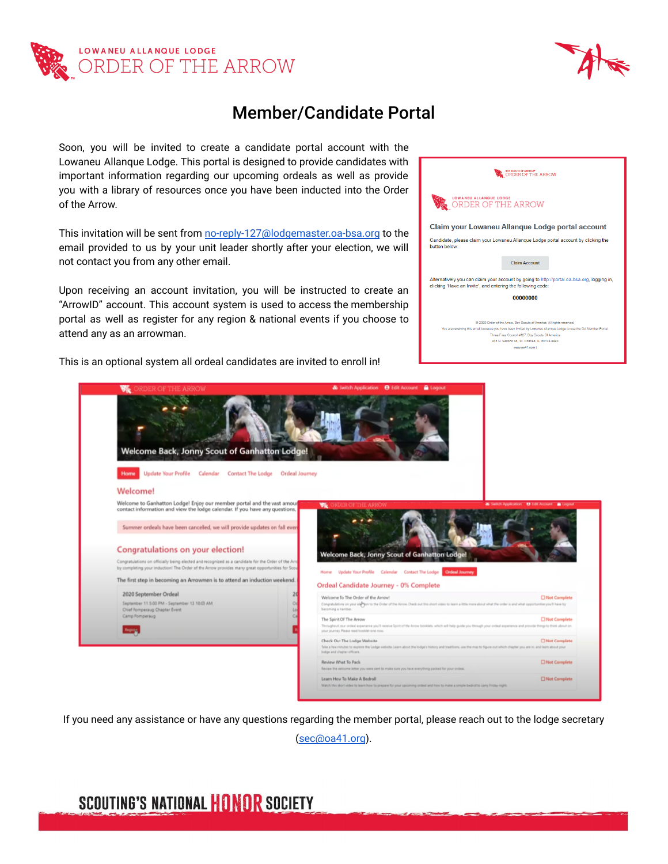



### Member/Candidate Portal

Soon, you will be invited to create a candidate portal account with the Lowaneu Allanque Lodge. This portal is designed to provide candidates with important information regarding our upcoming ordeals as well as provide you with a library of resources once you have been inducted into the Order of the Arrow.

This invitation will be sent from [no-reply-127@lodgemaster.oa-bsa.org](mailto:no-reply-127@lodgemaster.oa-bsa.org) to the email provided to us by your unit leader shortly after your election, we will not contact you from any other email.

Upon receiving an account invitation, you will be instructed to create an "ArrowID" account. This account system is used to access the membership portal as well as register for any region & national events if you choose to attend any as an arrowman.

This is an optional system all ordeal candidates are invited to enroll in!

|               | BOY SCOUTS OF AMERICA*<br>ORDER OF THE ARROW                                                                                                                         |
|---------------|----------------------------------------------------------------------------------------------------------------------------------------------------------------------|
|               | LOWANEU ALLANQUE LODGE<br>ER OF THE ARROW                                                                                                                            |
|               | Claim your Lowaneu Allanque Lodge portal account                                                                                                                     |
| button below. | Candidate, please claim your Lowaneu Allanque Lodge portal account by clicking the                                                                                   |
|               | <b>Claim Account</b>                                                                                                                                                 |
|               | Alternatively you can claim your account by going to http://portal.oa-bsa.org, logging in,<br>clicking 'Have an Invite', and entering the following code:            |
|               | 00000000                                                                                                                                                             |
|               | @ 2020 Order of the Arrow, Boy Scouts of America, All rights reserved.                                                                                               |
|               | You are receiving this email because you have been invited by Lowaneu Allangue Lodge to use the OA Member Portal.<br>Three Fires Council #127, Boy Scouts Of America |
|               | 415 N. Second St., St. Charles, IL, 60174-9990                                                                                                                       |
|               | www.oa41.com I                                                                                                                                                       |
|               |                                                                                                                                                                      |
|               |                                                                                                                                                                      |



If you need any assistance or have any questions regarding the member portal, please reach out to the lodge secretary [\(sec@oa41.org](mailto:sec@oa41.org)).